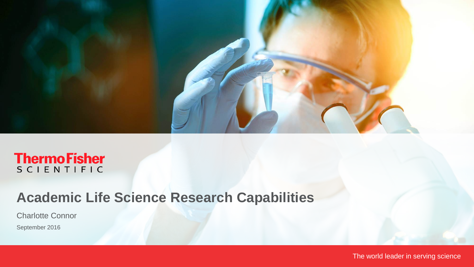

# **ThermoFisher**

## **Academic Life Science Research Capabilities**

Charlotte Connor

September 2016

The world leader in serving science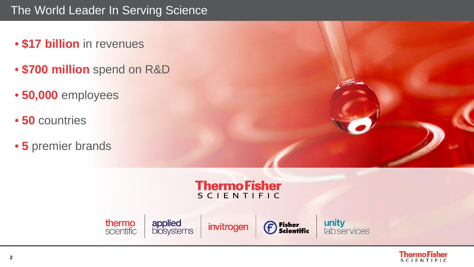## The World Leader In Serving Science

- **\$17 billion** in revenues
- **\$700 million** spend on R&D
- **50,000** employees
- **50** countries
- **5** premier brands







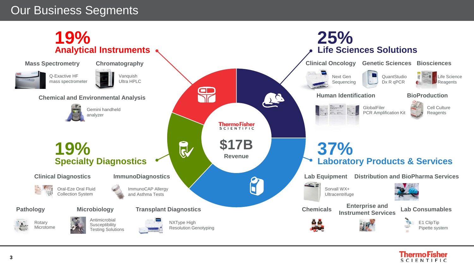## Our Business Segments



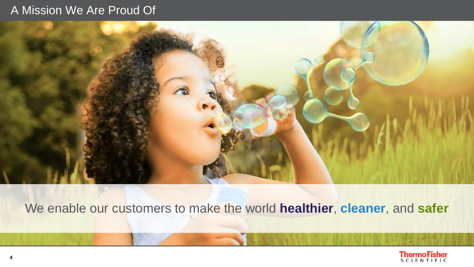## A Mission We Are Proud Of



We enable our customers to make the world **healthier**, **cleaner**, and **safer**

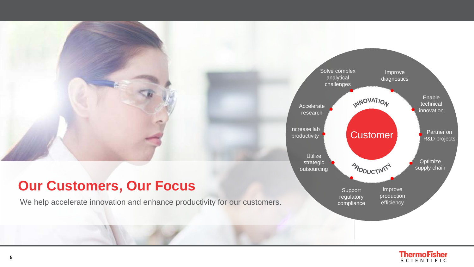## **Our Customers, Our Focus**

We help accelerate innovation and enhance productivity for our customers.



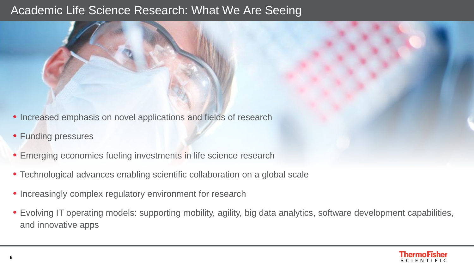## Academic Life Science Research: What We Are Seeing

- Increased emphasis on novel applications and fields of research
- Funding pressures
- Emerging economies fueling investments in life science research
- Technological advances enabling scientific collaboration on a global scale
- Increasingly complex regulatory environment for research
- Evolving IT operating models: supporting mobility, agility, big data analytics, software development capabilities, and innovative apps

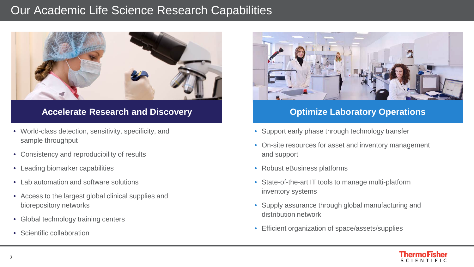## Our Academic Life Science Research Capabilities



### Accelerate Research and Discovery **Accelerations Optimize Laboratory Operations**

- World-class detection, sensitivity, specificity, and sample throughput
- Consistency and reproducibility of results
- Leading biomarker capabilities
- Lab automation and software solutions
- Access to the largest global clinical supplies and biorepository networks
- Global technology training centers
- Scientific collaboration



- Support early phase through technology transfer
- On-site resources for asset and inventory management and support
- Robust eBusiness platforms
- State-of-the-art IT tools to manage multi-platform inventory systems
- Supply assurance through global manufacturing and distribution network
- Efficient organization of space/assets/supplies

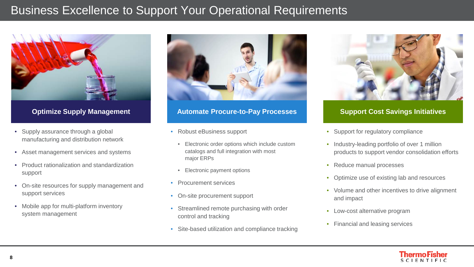## Business Excellence to Support Your Operational Requirements



- Supply assurance through a global manufacturing and distribution network
- Asset management services and systems
- Product rationalization and standardization support
- On-site resources for supply management and support services
- Mobile app for multi-platform inventory system management



### **Optimize Supply Management Automate Procure-to-Pay Processes Support Cost Savings Initiatives**

- Robust eBusiness support
	- Electronic order options which include custom catalogs and full integration with most major ERPs
	- Electronic payment options
- Procurement services
- On-site procurement support
- Streamlined remote purchasing with order control and tracking
- Site-based utilization and compliance tracking



- Support for regulatory compliance
- Industry-leading portfolio of over 1 million products to support vendor consolidation efforts
- Reduce manual processes
- Optimize use of existing lab and resources
- Volume and other incentives to drive alignment and impact
- Low-cost alternative program
- Financial and leasing services